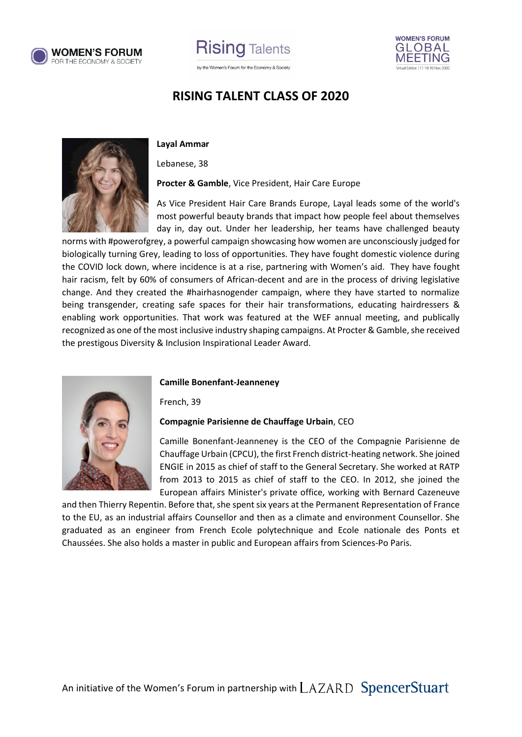





# **RISING TALENT CLASS OF 2020**



#### **Layal Ammar**

Lebanese, 38

**Procter & Gamble**, Vice President, Hair Care Europe

As Vice President Hair Care Brands Europe, Layal leads some of the world's most powerful beauty brands that impact how people feel about themselves day in, day out. Under her leadership, her teams have challenged beauty

norms with #powerofgrey, a powerful campaign showcasing how women are unconsciously judged for biologically turning Grey, leading to loss of opportunities. They have fought domestic violence during the COVID lock down, where incidence is at a rise, partnering with Women's aid. They have fought hair racism, felt by 60% of consumers of African-decent and are in the process of driving legislative change. And they created the #hairhasnogender campaign, where they have started to normalize being transgender, creating safe spaces for their hair transformations, educating hairdressers & enabling work opportunities. That work was featured at the WEF annual meeting, and publically recognized as one of the most inclusive industry shaping campaigns. At Procter & Gamble, she received the prestigous Diversity & Inclusion Inspirational Leader Award.



#### **Camille Bonenfant-Jeanneney**

French, 39

#### **Compagnie Parisienne de Chauffage Urbain**, CEO

Camille Bonenfant-Jeanneney is the CEO of the Compagnie Parisienne de Chauffage Urbain (CPCU), the first French district-heating network. She joined ENGIE in 2015 as chief of staff to the General Secretary. She worked at RATP from 2013 to 2015 as chief of staff to the CEO. In 2012, she joined the European affairs Minister's private office, working with Bernard Cazeneuve

and then Thierry Repentin. Before that, she spent six years at the Permanent Representation of France to the EU, as an industrial affairs Counsellor and then as a climate and environment Counsellor. She graduated as an engineer from French Ecole polytechnique and Ecole nationale des Ponts et Chaussées. She also holds a master in public and European affairs from Sciences-Po Paris.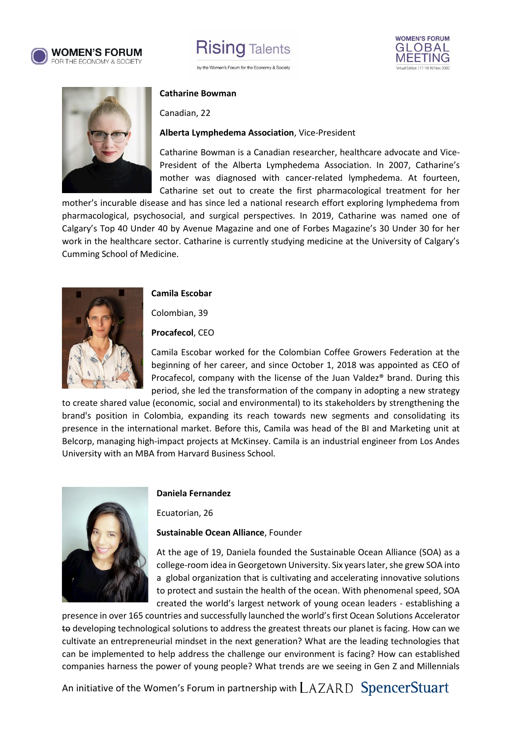







### **Catharine Bowman**

Canadian, 22

#### **Alberta Lymphedema Association**, Vice-President

Catharine Bowman is a Canadian researcher, healthcare advocate and Vice-President of the Alberta Lymphedema Association. In 2007, Catharine's mother was diagnosed with cancer-related lymphedema. At fourteen, Catharine set out to create the first pharmacological treatment for her

mother's incurable disease and has since led a national research effort exploring lymphedema from pharmacological, psychosocial, and surgical perspectives. In 2019, Catharine was named one of Calgary's Top 40 Under 40 by Avenue Magazine and one of Forbes Magazine's 30 Under 30 for her work in the healthcare sector. Catharine is currently studying medicine at the University of Calgary's Cumming School of Medicine.



#### **Camila Escobar**

Colombian, 39

**Procafecol**, CEO

Camila Escobar worked for the Colombian Coffee Growers Federation at the beginning of her career, and since October 1, 2018 was appointed as CEO of Procafecol, company with the license of the Juan Valdez® brand. During this period, she led the transformation of the company in adopting a new strategy

to create shared value (economic, social and environmental) to its stakeholders by strengthening the brand's position in Colombia, expanding its reach towards new segments and consolidating its presence in the international market. Before this, Camila was head of the BI and Marketing unit at Belcorp, managing high-impact projects at McKinsey. Camila is an industrial engineer from Los Andes University with an MBA from Harvard Business School.



#### **Daniela Fernandez**

Ecuatorian, 26

#### **Sustainable Ocean Alliance**, Founder

At the age of 19, Daniela founded the Sustainable Ocean Alliance (SOA) as a college-room idea in Georgetown University. Six years later, she grew SOA into a global organization that is cultivating and accelerating innovative solutions to protect and sustain the health of the ocean. With phenomenal speed, SOA created the world's largest network of young ocean leaders - establishing a

presence in over 165 countries and successfully launched the world's first Ocean Solutions Accelerator to developing technological solutions to address the greatest threats our planet is facing. How can we cultivate an entrepreneurial mindset in the next generation? What are the leading technologies that can be implemented to help address the challenge our environment is facing? How can established companies harness the power of young people? What trends are we seeing in Gen Z and Millennials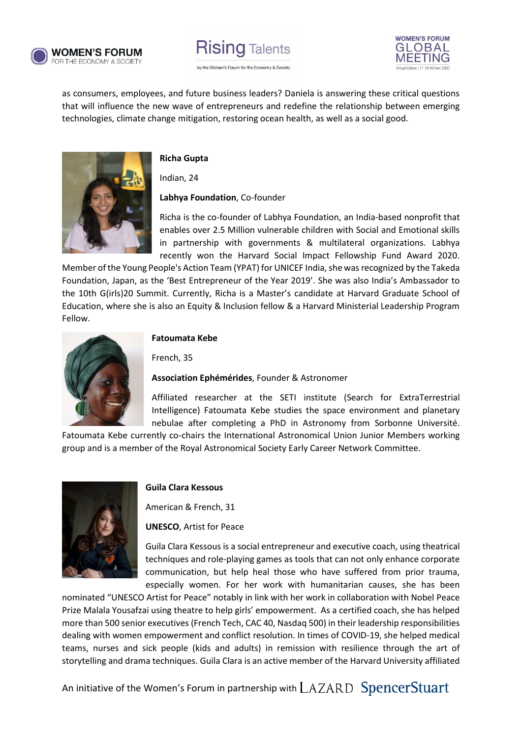





as consumers, employees, and future business leaders? Daniela is answering these critical questions that will influence the new wave of entrepreneurs and redefine the relationship between emerging technologies, climate change mitigation, restoring ocean health, as well as a social good.



## **Richa Gupta**

Indian, 24

**Labhya Foundation**, Co-founder

Richa is the co-founder of Labhya Foundation, an India-based nonprofit that enables over 2.5 Million vulnerable children with Social and Emotional skills in partnership with governments & multilateral organizations. Labhya recently won the Harvard Social Impact Fellowship Fund Award 2020.

Member of the Young People's Action Team (YPAT) for UNICEF India, she was recognized by the Takeda Foundation, Japan, as the 'Best Entrepreneur of the Year 2019'. She was also India's Ambassador to the 10th G(irls)20 Summit. Currently, Richa is a Master's candidate at Harvard Graduate School of Education, where she is also an Equity & Inclusion fellow & a Harvard Ministerial Leadership Program Fellow.



# **Fatoumata Kebe**

French, 35

### **Association Ephémérides**, Founder & Astronomer

Affiliated researcher at the SETI institute (Search for ExtraTerrestrial Intelligence) Fatoumata Kebe studies the space environment and planetary nebulae after completing a PhD in Astronomy from Sorbonne Université.

Fatoumata Kebe currently co-chairs the International Astronomical Union Junior Members working group and is a member of the Royal Astronomical Society Early Career Network Committee.



### **Guila Clara Kessous**

American & French, 31

**UNESCO**, Artist for Peace

Guila Clara Kessous is a social entrepreneur and executive coach, using theatrical techniques and role-playing games as tools that can not only enhance corporate communication, but help heal those who have suffered from prior trauma, especially women. For her work with humanitarian causes, she has been

nominated "UNESCO Artist for Peace" notably in link with her work in collaboration with Nobel Peace Prize Malala Yousafzai using theatre to help girls' empowerment. As a certified coach, she has helped more than 500 senior executives (French Tech, CAC 40, Nasdaq 500) in their leadership responsibilities dealing with women empowerment and conflict resolution. In times of COVID-19, she helped medical teams, nurses and sick people (kids and adults) in remission with resilience through the art of storytelling and drama techniques. Guila Clara is an active member of the Harvard University affiliated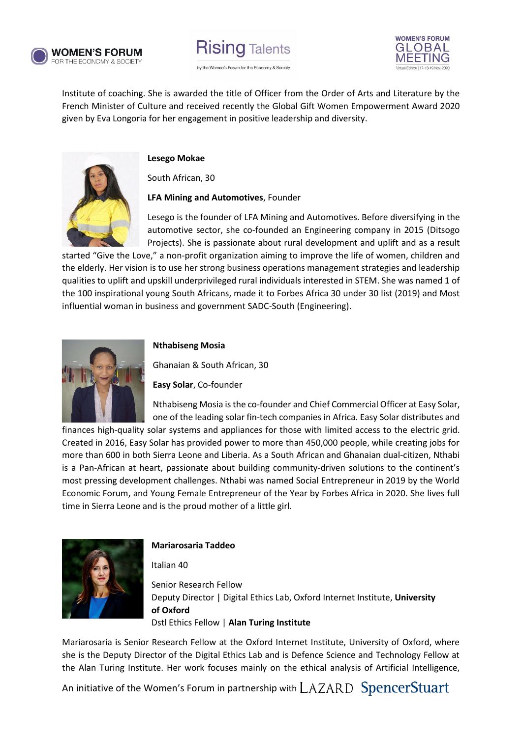





Institute of coaching. She is awarded the title of Officer from the Order of Arts and Literature by the French Minister of Culture and received recently the Global Gift Women Empowerment Award 2020 given by Eva Longoria for her engagement in positive leadership and diversity.

# **Lesego Mokae**

South African, 30

# **LFA Mining and Automotives**, Founder

Lesego is the founder of LFA Mining and Automotives. Before diversifying in the automotive sector, she co-founded an Engineering company in 2015 (Ditsogo Projects). She is passionate about rural development and uplift and as a result

started "Give the Love," a non-profit organization aiming to improve the life of women, children and the elderly. Her vision is to use her strong business operations management strategies and leadership qualities to uplift and upskill underprivileged rural individuals interested in STEM. She was named 1 of the 100 inspirational young South Africans, made it to Forbes Africa 30 under 30 list (2019) and Most influential woman in business and government SADC-South (Engineering).



# **Nthabiseng Mosia**

Ghanaian & South African, 30

**Easy Solar**, Co-founder

Nthabiseng Mosia is the co-founder and Chief Commercial Officer at Easy Solar, one of the leading solar fin-tech companies in Africa. Easy Solar distributes and

finances high-quality solar systems and appliances for those with limited access to the electric grid. Created in 2016, Easy Solar has provided power to more than 450,000 people, while creating jobs for more than 600 in both Sierra Leone and Liberia. As a South African and Ghanaian dual-citizen, Nthabi is a Pan-African at heart, passionate about building community-driven solutions to the continent's most pressing development challenges. Nthabi was named Social Entrepreneur in 2019 by the World Economic Forum, and Young Female Entrepreneur of the Year by Forbes Africa in 2020. She lives full time in Sierra Leone and is the proud mother of a little girl.



### **Mariarosaria Taddeo**

Italian 40

Senior Research Fellow Deputy Director | Digital Ethics Lab, Oxford Internet Institute, **University of Oxford** Dstl Ethics Fellow | **Alan Turing Institute**

Mariarosaria is Senior Research Fellow at the Oxford Internet Institute, University of Oxford, where she is the Deputy Director of the Digital Ethics Lab and is Defence Science and Technology Fellow at the Alan Turing Institute. Her work focuses mainly on the ethical analysis of Artificial Intelligence,